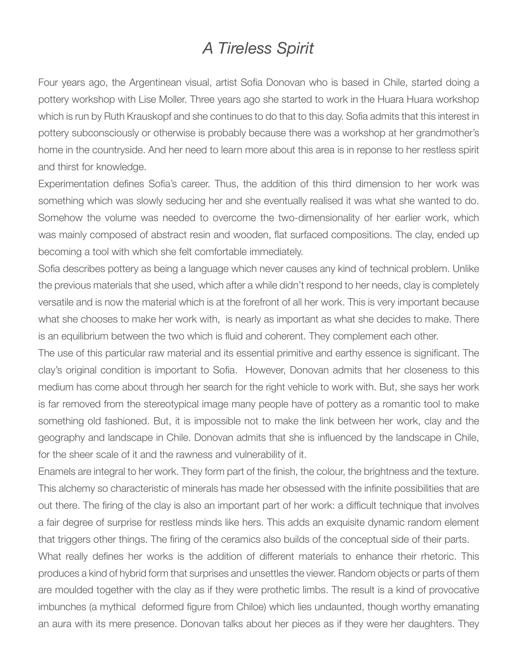## *A Tireless Spirit*

Four years ago, the Argentinean visual, artist Sofia Donovan who is based in Chile, started doing a pottery workshop with Lise Moller. Three years ago she started to work in the Huara Huara workshop which is run by Ruth Krauskopf and she continues to do that to this day. Sofia admits that this interest in pottery subconsciously or otherwise is probably because there was a workshop at her grandmother's home in the countryside. And her need to learn more about this area is in reponse to her restless spirit and thirst for knowledge.

Experimentation defines Sofia's career. Thus, the addition of this third dimension to her work was something which was slowly seducing her and she eventually realised it was what she wanted to do. Somehow the volume was needed to overcome the two-dimensionality of her earlier work, which was mainly composed of abstract resin and wooden, flat surfaced compositions. The clay, ended up becoming a tool with which she felt comfortable immediately.

Sofia describes pottery as being a language which never causes any kind of technical problem. Unlike the previous materials that she used, which after a while didn't respond to her needs, clay is completely versatile and is now the material which is at the forefront of all her work. This is very important because what she chooses to make her work with, is nearly as important as what she decides to make. There is an equilibrium between the two which is fluid and coherent. They complement each other.

The use of this particular raw material and its essential primitive and earthy essence is significant. The clay's original condition is important to Sofia. However, Donovan admits that her closeness to this medium has come about through her search for the right vehicle to work with. But, she says her work is far removed from the stereotypical image many people have of pottery as a romantic tool to make something old fashioned. But, it is impossible not to make the link between her work, clay and the geography and landscape in Chile. Donovan admits that she is influenced by the landscape in Chile, for the sheer scale of it and the rawness and vulnerability of it.

Enamels are integral to her work. They form part of the finish, the colour, the brightness and the texture. This alchemy so characteristic of minerals has made her obsessed with the infinite possibilities that are out there. The firing of the clay is also an important part of her work: a difficult technique that involves a fair degree of surprise for restless minds like hers. This adds an exquisite dynamic random element that triggers other things. The firing of the ceramics also builds of the conceptual side of their parts.

What really defines her works is the addition of different materials to enhance their rhetoric. This produces a kind of hybrid form that surprises and unsettles the viewer. Random objects or parts of them are moulded together with the clay as if they were prothetic limbs. The result is a kind of provocative imbunches (a mythical deformed figure from Chiloe) which lies undaunted, though worthy emanating an aura with its mere presence. Donovan talks about her pieces as if they were her daughters. They